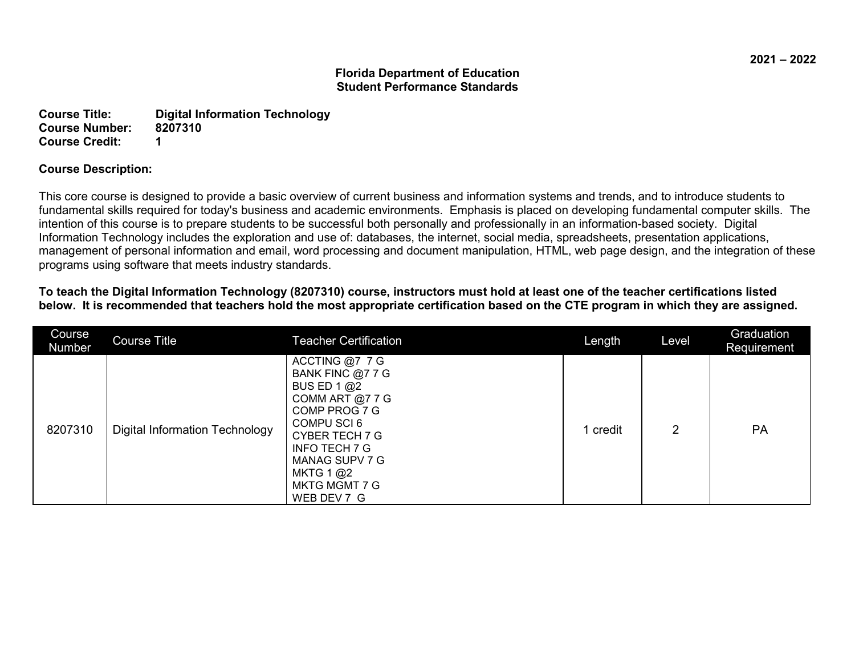## **Florida Department of Education Student Performance Standards**

| <b>Course Title:</b>  | <b>Digital Information Technology</b> |
|-----------------------|---------------------------------------|
| <b>Course Number:</b> | 8207310                               |
| <b>Course Credit:</b> |                                       |

## **Course Description:**

This core course is designed to provide a basic overview of current business and information systems and trends, and to introduce students to fundamental skills required for today's business and academic environments. Emphasis is placed on developing fundamental computer skills. The intention of this course is to prepare students to be successful both personally and professionally in an information-based society. Digital Information Technology includes the exploration and use of: databases, the internet, social media, spreadsheets, presentation applications, management of personal information and email, word processing and document manipulation, HTML, web page design, and the integration of these programs using software that meets industry standards.

**To teach the Digital Information Technology (8207310) course, instructors must hold at least one of the teacher certifications listed below. It is recommended that teachers hold the most appropriate certification based on the CTE program in which they are assigned.** 

| Course<br>Number | <b>Course Title</b>                   | <b>Teacher Certification</b>                                                                                                                                                                               | Length   | Level | Graduation<br>Requirement |
|------------------|---------------------------------------|------------------------------------------------------------------------------------------------------------------------------------------------------------------------------------------------------------|----------|-------|---------------------------|
| 8207310          | <b>Digital Information Technology</b> | ACCTING @7 7 G<br>BANK FINC @7 7 G<br>BUS ED 1 $@2$<br>COMM ART @7 7 G<br>COMP PROG 7 G<br>COMPU SCI 6<br>CYBER TECH 7 G<br>INFO TECH 7 G<br>MANAG SUPV 7 G<br>MKTG 1 $@2$<br>MKTG MGMT 7 G<br>WEB DEV 7 G | 1 credit | 2     | <b>PA</b>                 |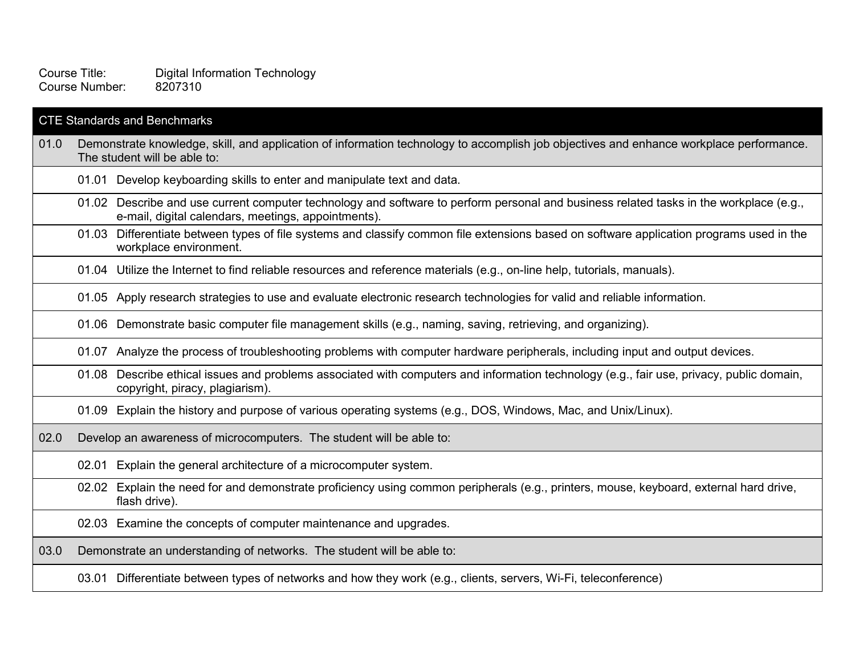Digital Information Technology<br>8207310 Course Title:<br>Course Number:

|      | <b>CTE Standards and Benchmarks</b>                                                                                                                                                           |  |  |  |
|------|-----------------------------------------------------------------------------------------------------------------------------------------------------------------------------------------------|--|--|--|
| 01.0 | Demonstrate knowledge, skill, and application of information technology to accomplish job objectives and enhance workplace performance.<br>The student will be able to:                       |  |  |  |
|      | 01.01 Develop keyboarding skills to enter and manipulate text and data.                                                                                                                       |  |  |  |
|      | 01.02 Describe and use current computer technology and software to perform personal and business related tasks in the workplace (e.g.,<br>e-mail, digital calendars, meetings, appointments). |  |  |  |
|      | 01.03 Differentiate between types of file systems and classify common file extensions based on software application programs used in the<br>workplace environment.                            |  |  |  |
|      | 01.04 Utilize the Internet to find reliable resources and reference materials (e.g., on-line help, tutorials, manuals).                                                                       |  |  |  |
|      | 01.05 Apply research strategies to use and evaluate electronic research technologies for valid and reliable information.                                                                      |  |  |  |
|      | 01.06 Demonstrate basic computer file management skills (e.g., naming, saving, retrieving, and organizing).                                                                                   |  |  |  |
|      | 01.07 Analyze the process of troubleshooting problems with computer hardware peripherals, including input and output devices.                                                                 |  |  |  |
|      | 01.08 Describe ethical issues and problems associated with computers and information technology (e.g., fair use, privacy, public domain,<br>copyright, piracy, plagiarism).                   |  |  |  |
|      | 01.09 Explain the history and purpose of various operating systems (e.g., DOS, Windows, Mac, and Unix/Linux).                                                                                 |  |  |  |
| 02.0 | Develop an awareness of microcomputers. The student will be able to:                                                                                                                          |  |  |  |
|      | 02.01 Explain the general architecture of a microcomputer system.                                                                                                                             |  |  |  |
|      | 02.02 Explain the need for and demonstrate proficiency using common peripherals (e.g., printers, mouse, keyboard, external hard drive,<br>flash drive).                                       |  |  |  |
|      | 02.03 Examine the concepts of computer maintenance and upgrades.                                                                                                                              |  |  |  |
| 03.0 | Demonstrate an understanding of networks. The student will be able to:                                                                                                                        |  |  |  |
|      | 03.01 Differentiate between types of networks and how they work (e.g., clients, servers, Wi-Fi, teleconference)                                                                               |  |  |  |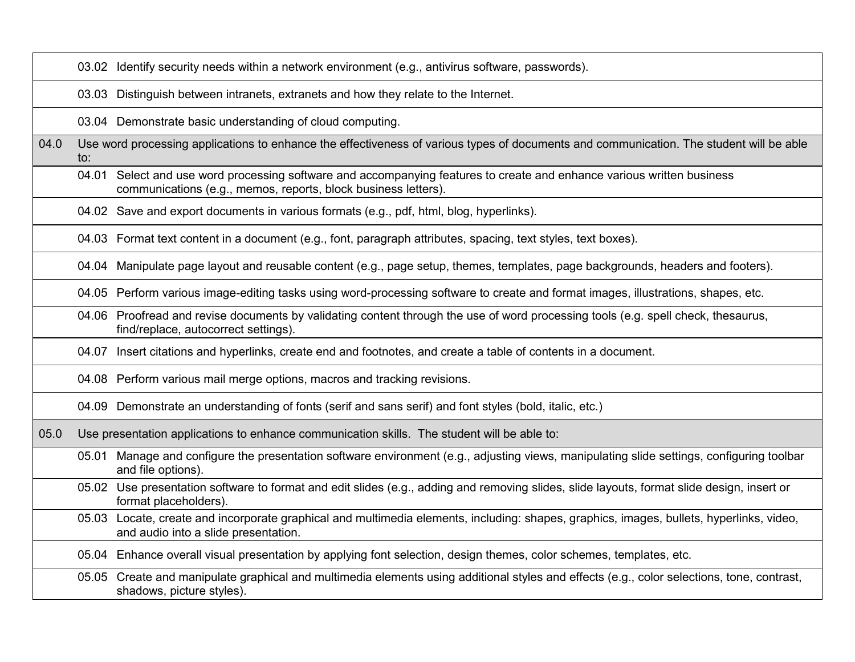03.02 Identify security needs within a network environment (e.g., antivirus software, passwords).

03.03 Distinguish between intranets, extranets and how they relate to the Internet.

03.04 Demonstrate basic understanding of cloud computing.

04.0 Use word processing applications to enhance the effectiveness of various types of documents and communication. The student will be able to:

04.01 Select and use word processing software and accompanying features to create and enhance various written business communications (e.g., memos, reports, block business letters).

04.02 Save and export documents in various formats (e.g., pdf, html, blog, hyperlinks).

04.03 Format text content in a document (e.g., font, paragraph attributes, spacing, text styles, text boxes).

04.04 Manipulate page layout and reusable content (e.g., page setup, themes, templates, page backgrounds, headers and footers).

04.05 Perform various image-editing tasks using word-processing software to create and format images, illustrations, shapes, etc.

04.06 Proofread and revise documents by validating content through the use of word processing tools (e.g. spell check, thesaurus, find/replace, autocorrect settings).

04.07 Insert citations and hyperlinks, create end and footnotes, and create a table of contents in a document.

04.08 Perform various mail merge options, macros and tracking revisions.

04.09 Demonstrate an understanding of fonts (serif and sans serif) and font styles (bold, italic, etc.)

05.0 Use presentation applications to enhance communication skills. The student will be able to:

05.01 Manage and configure the presentation software environment (e.g., adjusting views, manipulating slide settings, configuring toolbar and file options).

05.02 Use presentation software to format and edit slides (e.g., adding and removing slides, slide layouts, format slide design, insert or format placeholders).

05.03 Locate, create and incorporate graphical and multimedia elements, including: shapes, graphics, images, bullets, hyperlinks, video, and audio into a slide presentation.

05.04 Enhance overall visual presentation by applying font selection, design themes, color schemes, templates, etc.

05.05 Create and manipulate graphical and multimedia elements using additional styles and effects (e.g., color selections, tone, contrast, shadows, picture styles).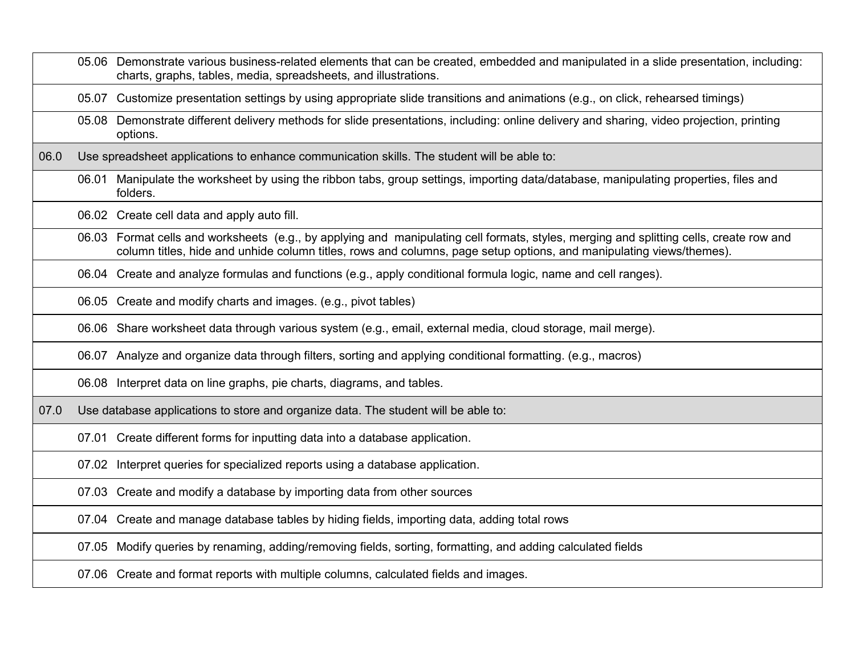|      | 05.06 Demonstrate various business-related elements that can be created, embedded and manipulated in a slide presentation, including:<br>charts, graphs, tables, media, spreadsheets, and illustrations.                                                       |  |  |
|------|----------------------------------------------------------------------------------------------------------------------------------------------------------------------------------------------------------------------------------------------------------------|--|--|
|      | 05.07 Customize presentation settings by using appropriate slide transitions and animations (e.g., on click, rehearsed timings)                                                                                                                                |  |  |
|      | 05.08 Demonstrate different delivery methods for slide presentations, including: online delivery and sharing, video projection, printing<br>options.                                                                                                           |  |  |
| 06.0 | Use spreadsheet applications to enhance communication skills. The student will be able to:                                                                                                                                                                     |  |  |
|      | 06.01 Manipulate the worksheet by using the ribbon tabs, group settings, importing data/database, manipulating properties, files and<br>folders.                                                                                                               |  |  |
|      | 06.02 Create cell data and apply auto fill.                                                                                                                                                                                                                    |  |  |
|      | 06.03 Format cells and worksheets (e.g., by applying and manipulating cell formats, styles, merging and splitting cells, create row and<br>column titles, hide and unhide column titles, rows and columns, page setup options, and manipulating views/themes). |  |  |
|      | 06.04 Create and analyze formulas and functions (e.g., apply conditional formula logic, name and cell ranges).                                                                                                                                                 |  |  |
|      | 06.05 Create and modify charts and images. (e.g., pivot tables)                                                                                                                                                                                                |  |  |
|      | 06.06 Share worksheet data through various system (e.g., email, external media, cloud storage, mail merge).                                                                                                                                                    |  |  |
|      | 06.07 Analyze and organize data through filters, sorting and applying conditional formatting. (e.g., macros)                                                                                                                                                   |  |  |
|      | 06.08 Interpret data on line graphs, pie charts, diagrams, and tables.                                                                                                                                                                                         |  |  |
| 07.0 | Use database applications to store and organize data. The student will be able to:                                                                                                                                                                             |  |  |
|      | 07.01 Create different forms for inputting data into a database application.                                                                                                                                                                                   |  |  |
|      | 07.02 Interpret queries for specialized reports using a database application.                                                                                                                                                                                  |  |  |
|      | 07.03 Create and modify a database by importing data from other sources                                                                                                                                                                                        |  |  |
|      | 07.04 Create and manage database tables by hiding fields, importing data, adding total rows                                                                                                                                                                    |  |  |
|      | 07.05 Modify queries by renaming, adding/removing fields, sorting, formatting, and adding calculated fields                                                                                                                                                    |  |  |
|      | 07.06 Create and format reports with multiple columns, calculated fields and images.                                                                                                                                                                           |  |  |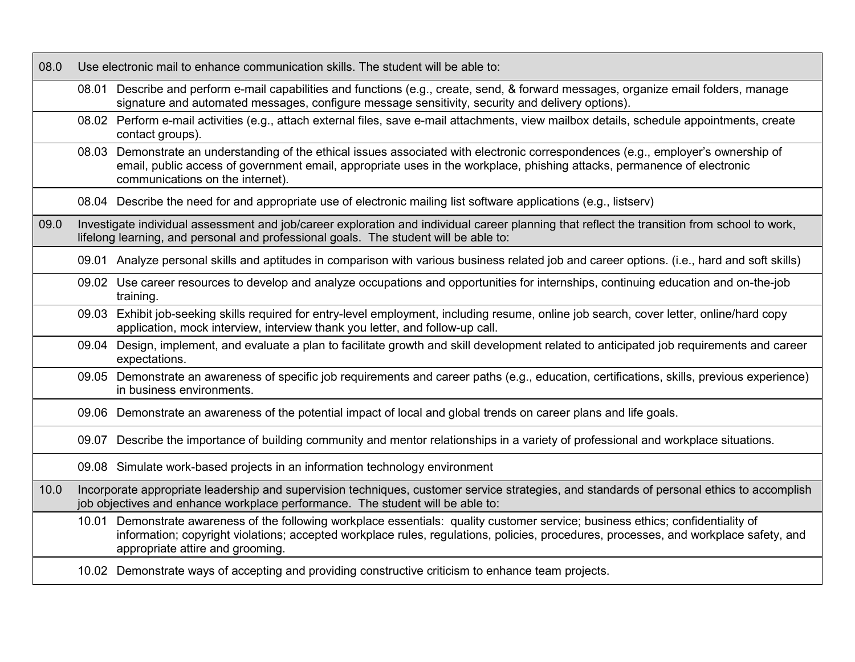| 08.0 | Use electronic mail to enhance communication skills. The student will be able to: |                                                                                                                                                                                                                                                                                                              |  |
|------|-----------------------------------------------------------------------------------|--------------------------------------------------------------------------------------------------------------------------------------------------------------------------------------------------------------------------------------------------------------------------------------------------------------|--|
|      |                                                                                   | 08.01 Describe and perform e-mail capabilities and functions (e.g., create, send, & forward messages, organize email folders, manage<br>signature and automated messages, configure message sensitivity, security and delivery options).                                                                     |  |
|      |                                                                                   | 08.02 Perform e-mail activities (e.g., attach external files, save e-mail attachments, view mailbox details, schedule appointments, create<br>contact groups).                                                                                                                                               |  |
|      |                                                                                   | 08.03 Demonstrate an understanding of the ethical issues associated with electronic correspondences (e.g., employer's ownership of<br>email, public access of government email, appropriate uses in the workplace, phishing attacks, permanence of electronic<br>communications on the internet).            |  |
|      |                                                                                   | 08.04 Describe the need for and appropriate use of electronic mailing list software applications (e.g., listserv)                                                                                                                                                                                            |  |
| 09.0 |                                                                                   | Investigate individual assessment and job/career exploration and individual career planning that reflect the transition from school to work,<br>lifelong learning, and personal and professional goals. The student will be able to:                                                                         |  |
|      |                                                                                   | 09.01 Analyze personal skills and aptitudes in comparison with various business related job and career options. (i.e., hard and soft skills)                                                                                                                                                                 |  |
|      |                                                                                   | 09.02 Use career resources to develop and analyze occupations and opportunities for internships, continuing education and on-the-job<br>training.                                                                                                                                                            |  |
|      | 09.03                                                                             | Exhibit job-seeking skills required for entry-level employment, including resume, online job search, cover letter, online/hard copy<br>application, mock interview, interview thank you letter, and follow-up call.                                                                                          |  |
|      |                                                                                   | 09.04 Design, implement, and evaluate a plan to facilitate growth and skill development related to anticipated job requirements and career<br>expectations.                                                                                                                                                  |  |
|      |                                                                                   | 09.05 Demonstrate an awareness of specific job requirements and career paths (e.g., education, certifications, skills, previous experience)<br>in business environments.                                                                                                                                     |  |
|      |                                                                                   | 09.06 Demonstrate an awareness of the potential impact of local and global trends on career plans and life goals.                                                                                                                                                                                            |  |
|      |                                                                                   | 09.07 Describe the importance of building community and mentor relationships in a variety of professional and workplace situations.                                                                                                                                                                          |  |
|      |                                                                                   | 09.08 Simulate work-based projects in an information technology environment                                                                                                                                                                                                                                  |  |
| 10.0 |                                                                                   | Incorporate appropriate leadership and supervision techniques, customer service strategies, and standards of personal ethics to accomplish<br>job objectives and enhance workplace performance. The student will be able to:                                                                                 |  |
|      |                                                                                   | 10.01 Demonstrate awareness of the following workplace essentials: quality customer service; business ethics; confidentiality of<br>information; copyright violations; accepted workplace rules, regulations, policies, procedures, processes, and workplace safety, and<br>appropriate attire and grooming. |  |
|      |                                                                                   | 10.02 Demonstrate ways of accepting and providing constructive criticism to enhance team projects.                                                                                                                                                                                                           |  |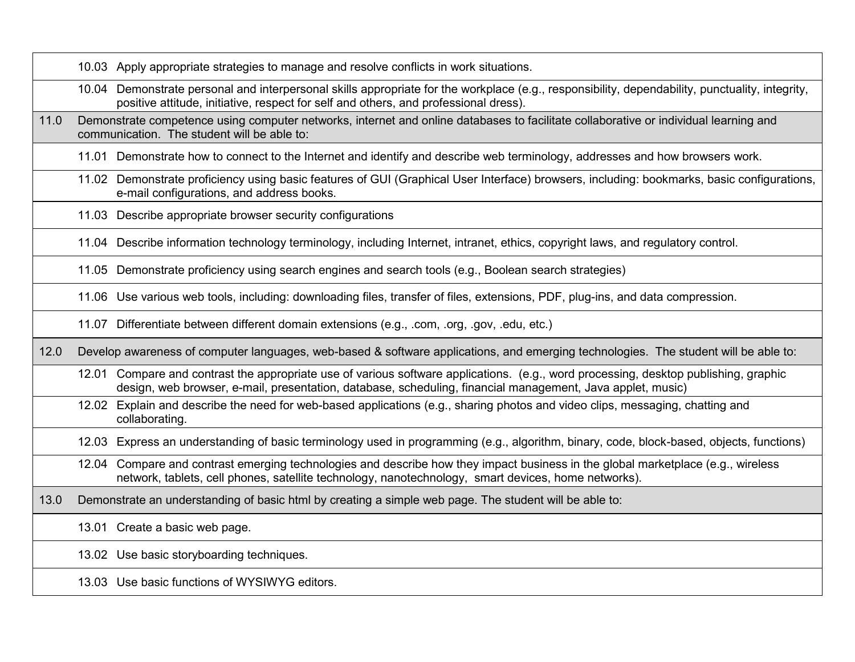|      | 10.03 Apply appropriate strategies to manage and resolve conflicts in work situations.                                                                                                                                                             |
|------|----------------------------------------------------------------------------------------------------------------------------------------------------------------------------------------------------------------------------------------------------|
|      | 10.04 Demonstrate personal and interpersonal skills appropriate for the workplace (e.g., responsibility, dependability, punctuality, integrity,<br>positive attitude, initiative, respect for self and others, and professional dress).            |
| 11.0 | Demonstrate competence using computer networks, internet and online databases to facilitate collaborative or individual learning and<br>communication. The student will be able to:                                                                |
|      | 11.01 Demonstrate how to connect to the Internet and identify and describe web terminology, addresses and how browsers work.                                                                                                                       |
|      | 11.02 Demonstrate proficiency using basic features of GUI (Graphical User Interface) browsers, including: bookmarks, basic configurations,<br>e-mail configurations, and address books.                                                            |
|      | 11.03 Describe appropriate browser security configurations                                                                                                                                                                                         |
|      | 11.04 Describe information technology terminology, including Internet, intranet, ethics, copyright laws, and regulatory control.                                                                                                                   |
|      | 11.05 Demonstrate proficiency using search engines and search tools (e.g., Boolean search strategies)                                                                                                                                              |
|      | 11.06 Use various web tools, including: downloading files, transfer of files, extensions, PDF, plug-ins, and data compression.                                                                                                                     |
|      | 11.07 Differentiate between different domain extensions (e.g., .com, .org, .gov, .edu, etc.)                                                                                                                                                       |
| 12.0 | Develop awareness of computer languages, web-based & software applications, and emerging technologies. The student will be able to:                                                                                                                |
|      | 12.01 Compare and contrast the appropriate use of various software applications. (e.g., word processing, desktop publishing, graphic<br>design, web browser, e-mail, presentation, database, scheduling, financial management, Java applet, music) |
|      | 12.02 Explain and describe the need for web-based applications (e.g., sharing photos and video clips, messaging, chatting and<br>collaborating.                                                                                                    |
|      | 12.03 Express an understanding of basic terminology used in programming (e.g., algorithm, binary, code, block-based, objects, functions)                                                                                                           |
|      | 12.04 Compare and contrast emerging technologies and describe how they impact business in the global marketplace (e.g., wireless<br>network, tablets, cell phones, satellite technology, nanotechnology, smart devices, home networks).            |
| 13.0 | Demonstrate an understanding of basic html by creating a simple web page. The student will be able to:                                                                                                                                             |
|      | 13.01 Create a basic web page.                                                                                                                                                                                                                     |
|      | 13.02 Use basic storyboarding techniques.                                                                                                                                                                                                          |
|      | 13.03 Use basic functions of WYSIWYG editors.                                                                                                                                                                                                      |
|      |                                                                                                                                                                                                                                                    |